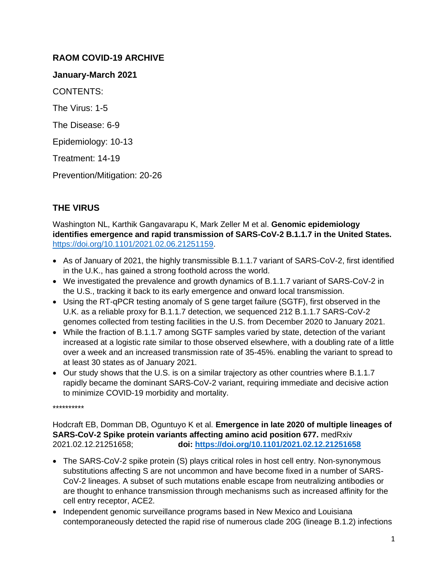# **RAOM COVID-19 ARCHIVE**

**January-March 2021**

CONTENTS:

The Virus: 1-5

The Disease: 6-9

Epidemiology: 10-13

Treatment: 14-19

Prevention/Mitigation: 20-26

# **THE VIRUS**

Washington NL, Karthik Gangavarapu K, Mark Zeller M et al. **Genomic epidemiology identifies emergence and rapid transmission of SARS-CoV-2 B.1.1.7 in the United States.** [https://doi.org/10.1101/2021.02.06.21251159.](https://doi.org/10.1101/2021.02.06.21251159)

- As of January of 2021, the highly transmissible B.1.1.7 variant of SARS-CoV-2, first identified in the U.K., has gained a strong foothold across the world.
- We investigated the prevalence and growth dynamics of B.1.1.7 variant of SARS-CoV-2 in the U.S., tracking it back to its early emergence and onward local transmission.
- Using the RT-qPCR testing anomaly of S gene target failure (SGTF), first observed in the U.K. as a reliable proxy for B.1.1.7 detection, we sequenced 212 B.1.1.7 SARS-CoV-2 genomes collected from testing facilities in the U.S. from December 2020 to January 2021.
- While the fraction of B.1.1.7 among SGTF samples varied by state, detection of the variant increased at a logistic rate similar to those observed elsewhere, with a doubling rate of a little over a week and an increased transmission rate of 35-45%. enabling the variant to spread to at least 30 states as of January 2021.
- Our study shows that the U.S. is on a similar trajectory as other countries where B.1.1.7 rapidly became the dominant SARS-CoV-2 variant, requiring immediate and decisive action to minimize COVID-19 morbidity and mortality.

\*\*\*\*\*\*\*\*\*\*

Hodcraft EB, Domman DB, Oguntuyo K et al. **Emergence in late 2020 of multiple lineages of SARS-CoV-2 Spike protein variants affecting amino acid position 677.** medRxiv 2021.02.12.21251658; **doi:<https://doi.org/10.1101/2021.02.12.21251658>**

- The SARS-CoV-2 spike protein (S) plays critical roles in host cell entry. Non-synonymous substitutions affecting S are not uncommon and have become fixed in a number of SARS-CoV-2 lineages. A subset of such mutations enable escape from neutralizing antibodies or are thought to enhance transmission through mechanisms such as increased affinity for the cell entry receptor, ACE2.
- Independent genomic surveillance programs based in New Mexico and Louisiana contemporaneously detected the rapid rise of numerous clade 20G (lineage B.1.2) infections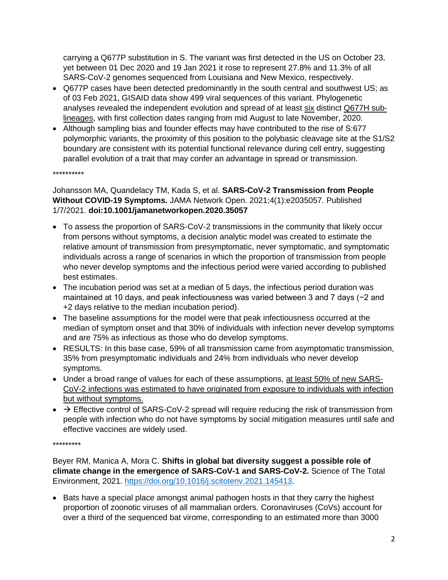carrying a Q677P substitution in S. The variant was first detected in the US on October 23, yet between 01 Dec 2020 and 19 Jan 2021 it rose to represent 27.8% and 11.3% of all SARS-CoV-2 genomes sequenced from Louisiana and New Mexico, respectively.

- Q677P cases have been detected predominantly in the south central and southwest US; as of 03 Feb 2021, GISAID data show 499 viral sequences of this variant. Phylogenetic analyses revealed the independent evolution and spread of at least six distinct Q677H sublineages, with first collection dates ranging from mid August to late November, 2020.
- Although sampling bias and founder effects may have contributed to the rise of S:677 polymorphic variants, the proximity of this position to the polybasic cleavage site at the S1/S2 boundary are consistent with its potential functional relevance during cell entry, suggesting parallel evolution of a trait that may confer an advantage in spread or transmission.

\*\*\*\*\*\*\*\*\*\*

## Johansson MA, Quandelacy TM, Kada S, et al. **SARS-CoV-2 Transmission from People Without COVID-19 Symptoms.** JAMA Network Open. 2021;4(1):e2035057. Published 1/7/2021. **doi:10.1001/jamanetworkopen.2020.35057**

- To assess the proportion of SARS-CoV-2 transmissions in the community that likely occur from persons without symptoms, a decision analytic model was created to estimate the relative amount of transmission from presymptomatic, never symptomatic, and symptomatic individuals across a range of scenarios in which the proportion of transmission from people who never develop symptoms and the infectious period were varied according to published best estimates.
- The incubation period was set at a median of 5 days, the infectious period duration was maintained at 10 days, and peak infectiousness was varied between 3 and 7 days (−2 and +2 days relative to the median incubation period).
- The baseline assumptions for the model were that peak infectiousness occurred at the median of symptom onset and that 30% of individuals with infection never develop symptoms and are 75% as infectious as those who do develop symptoms.
- RESULTS: In this base case, 59% of all transmission came from asymptomatic transmission, 35% from presymptomatic individuals and 24% from individuals who never develop symptoms.
- Under a broad range of values for each of these assumptions, at least 50% of new SARS-CoV-2 infections was estimated to have originated from exposure to individuals with infection but without symptoms.
- $\rightarrow$  Effective control of SARS-CoV-2 spread will require reducing the risk of transmission from people with infection who do not have symptoms by social mitigation measures until safe and effective vaccines are widely used.

#### \*\*\*\*\*\*\*\*\*

Beyer RM, Manica A, Mora C. **Shifts in global bat diversity suggest a possible role of climate change in the emergence of SARS-CoV-1 and SARS-CoV-2.** Science of The Total Environment, 2021. [https://doi.org/10.1016/j.scitotenv.2021.145413.](https://doi.org/10.1016/j.scitotenv.2021.145413)

• Bats have a special place amongst animal pathogen hosts in that they carry the highest proportion of zoonotic viruses of all mammalian orders. Coronaviruses (CoVs) account for over a third of the sequenced bat virome, corresponding to an estimated more than 3000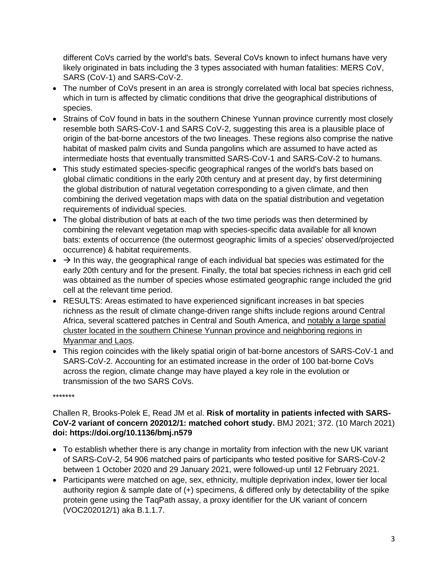different CoVs carried by the world's bats. Several CoVs known to infect humans have very likely originated in bats including the 3 types associated with human fatalities: MERS CoV, SARS (CoV-1) and SARS-CoV-2.

- The number of CoVs present in an area is strongly correlated with local bat species richness, which in turn is affected by climatic conditions that drive the geographical distributions of species.
- Strains of CoV found in bats in the southern Chinese Yunnan province currently most closely resemble both SARS-CoV-1 and SARS CoV-2, suggesting this area is a plausible place of origin of the bat-borne ancestors of the two lineages. These regions also comprise the native habitat of masked palm civits and Sunda pangolins which are assumed to have acted as intermediate hosts that eventually transmitted SARS-CoV-1 and SARS-CoV-2 to humans.
- This study estimated species-specific geographical ranges of the world's bats based on global climatic conditions in the early 20th century and at present day, by first determining the global distribution of natural vegetation corresponding to a given climate, and then combining the derived vegetation maps with data on the spatial distribution and vegetation requirements of individual species.
- The global distribution of bats at each of the two time periods was then determined by combining the relevant vegetation map with species-specific data available for all known bats: extents of occurrence (the outermost geographic limits of a species' observed/projected occurrence) & habitat requirements.
- $\bullet$   $\rightarrow$  In this way, the geographical range of each individual bat species was estimated for the early 20th century and for the present. Finally, the total bat species richness in each grid cell was obtained as the number of species whose estimated geographic range included the grid cell at the relevant time period.
- RESULTS: Areas estimated to have experienced significant increases in bat species richness as the result of climate change-driven range shifts include regions around Central Africa, several scattered patches in Central and South America, and notably a large spatial cluster located in the southern Chinese Yunnan province and neighboring regions in Myanmar and Laos.
- This region coincides with the likely spatial origin of bat-borne ancestors of SARS-CoV-1 and SARS-CoV-2. Accounting for an estimated increase in the order of 100 bat-borne CoVs across the region, climate change may have played a key role in the evolution or transmission of the two SARS CoVs.

\*\*\*\*\*\*\*

## Challen R, Brooks-Polek E, Read JM et al. **Risk of mortality in patients infected with SARS-CoV-2 variant of concern 202012/1: matched cohort study.** BMJ 2021; 372. (10 March 2021) **doi: https://doi.org/10.1136/bmj.n579**

- To establish whether there is any change in mortality from infection with the new UK variant of SARS-CoV-2, 54 906 matched pairs of participants who tested positive for SARS-CoV-2 between 1 October 2020 and 29 January 2021, were followed-up until 12 February 2021.
- Participants were matched on age, sex, ethnicity, multiple deprivation index, lower tier local authority region & sample date of (+) specimens, & differed only by detectability of the spike protein gene using the TaqPath assay, a proxy identifier for the UK variant of concern (VOC202012/1) aka B.1.1.7.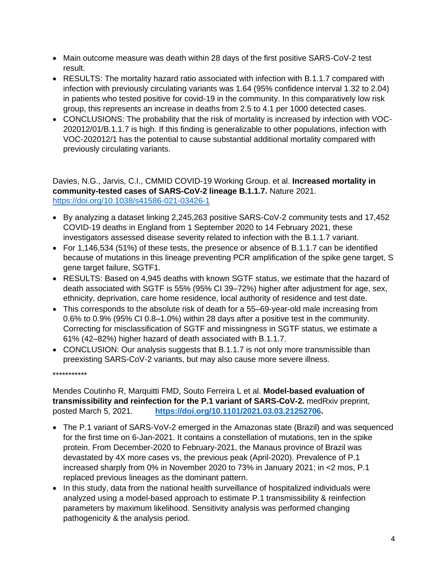- Main outcome measure was death within 28 days of the first positive SARS-CoV-2 test result.
- RESULTS: The mortality hazard ratio associated with infection with B.1.1.7 compared with infection with previously circulating variants was 1.64 (95% confidence interval 1.32 to 2.04) in patients who tested positive for covid-19 in the community. In this comparatively low risk group, this represents an increase in deaths from 2.5 to 4.1 per 1000 detected cases.
- CONCLUSIONS: The probability that the risk of mortality is increased by infection with VOC-202012/01/B.1.1.7 is high. If this finding is generalizable to other populations, infection with VOC-202012/1 has the potential to cause substantial additional mortality compared with previously circulating variants.

Davies, N.G., Jarvis, C.I., CMMID COVID-19 Working Group. et al. **Increased mortality in community-tested cases of SARS-CoV-2 lineage B.1.1.7.** Nature 2021. <https://doi.org/10.1038/s41586-021-03426-1>

- By analyzing a dataset linking 2,245,263 positive SARS-CoV-2 community tests and 17,452 COVID-19 deaths in England from 1 September 2020 to 14 February 2021, these investigators assessed disease severity related to infection with the B.1.1.7 variant.
- For 1,146,534 (51%) of these tests, the presence or absence of B.1.1.7 can be identified because of mutations in this lineage preventing PCR amplification of the spike gene target, S gene target failure, SGTF1.
- RESULTS: Based on 4,945 deaths with known SGTF status, we estimate that the hazard of death associated with SGTF is 55% (95% CI 39–72%) higher after adjustment for age, sex, ethnicity, deprivation, care home residence, local authority of residence and test date.
- This corresponds to the absolute risk of death for a 55–69-year-old male increasing from 0.6% to 0.9% (95% CI 0.8–1.0%) within 28 days after a positive test in the community. Correcting for misclassification of SGTF and missingness in SGTF status, we estimate a 61% (42–82%) higher hazard of death associated with B.1.1.7.
- CONCLUSION: Our analysis suggests that B.1.1.7 is not only more transmissible than preexisting SARS-CoV-2 variants, but may also cause more severe illness.

\*\*\*\*\*\*\*\*\*\*\*

Mendes Coutinho R, Marquitti FMD, Souto Ferreira L et al. **Model-based evaluation of transmissibility and reinfection for the P.1 variant of SARS-CoV-2.** medRxiv preprint, posted March 5, 2021. **[https://doi.org/10.1101/2021.03.03.21252706.](https://doi.org/10.1101/2021.03.03.21252706)**

- The P.1 variant of SARS-VoV-2 emerged in the Amazonas state (Brazil) and was sequenced for the first time on 6-Jan-2021. It contains a constellation of mutations, ten in the spike protein. From December-2020 to February-2021, the Manaus province of Brazil was devastated by 4X more cases vs, the previous peak (April-2020). Prevalence of P.1 increased sharply from 0% in November 2020 to 73% in January 2021; in <2 mos, P.1 replaced previous lineages as the dominant pattern.
- In this study, data from the national health surveillance of hospitalized individuals were analyzed using a model-based approach to estimate P.1 transmissibility & reinfection parameters by maximum likelihood. Sensitivity analysis was performed changing pathogenicity & the analysis period.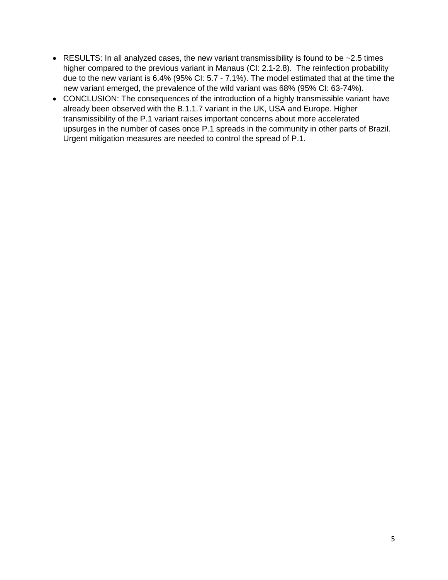- RESULTS: In all analyzed cases, the new variant transmissibility is found to be  $\sim$  2.5 times higher compared to the previous variant in Manaus (CI: 2.1-2.8). The reinfection probability due to the new variant is 6.4% (95% CI: 5.7 - 7.1%). The model estimated that at the time the new variant emerged, the prevalence of the wild variant was 68% (95% CI: 63-74%).
- CONCLUSION: The consequences of the introduction of a highly transmissible variant have already been observed with the B.1.1.7 variant in the UK, USA and Europe. Higher transmissibility of the P.1 variant raises important concerns about more accelerated upsurges in the number of cases once P.1 spreads in the community in other parts of Brazil. Urgent mitigation measures are needed to control the spread of P.1.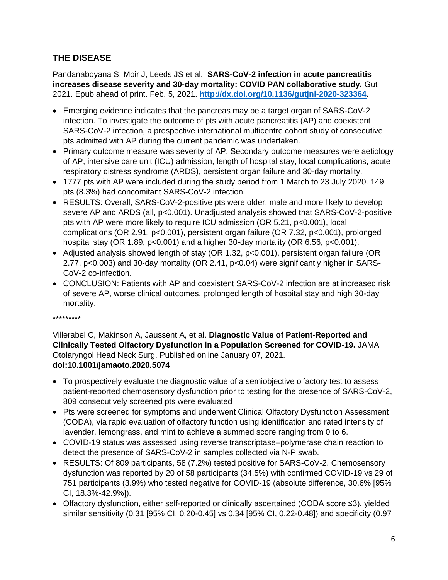# **THE DISEASE**

Pandanaboyana S, Moir J, Leeds JS et al. **SARS-CoV-2 infection in acute pancreatitis increases disease severity and 30-day mortality: COVID PAN collaborative study.** Gut 2021. Epub ahead of print. Feb. 5, 2021. **[http://dx.doi.org/10.1136/gutjnl-2020-323364.](http://dx.doi.org/10.1136/gutjnl-2020-323364)**

- Emerging evidence indicates that the pancreas may be a target organ of SARS-CoV-2 infection. To investigate the outcome of pts with acute pancreatitis (AP) and coexistent SARS-CoV-2 infection, a prospective international multicentre cohort study of consecutive pts admitted with AP during the current pandemic was undertaken.
- Primary outcome measure was severity of AP. Secondary outcome measures were aetiology of AP, intensive care unit (ICU) admission, length of hospital stay, local complications, acute respiratory distress syndrome (ARDS), persistent organ failure and 30-day mortality.
- 1777 pts with AP were included during the study period from 1 March to 23 July 2020. 149 pts (8.3%) had concomitant SARS-CoV-2 infection.
- RESULTS: Overall, SARS-CoV-2-positive pts were older, male and more likely to develop severe AP and ARDS (all, p<0.001). Unadjusted analysis showed that SARS-CoV-2-positive pts with AP were more likely to require ICU admission (OR 5.21, p<0.001), local complications (OR 2.91, p<0.001), persistent organ failure (OR 7.32, p<0.001), prolonged hospital stay (OR 1.89, p<0.001) and a higher 30-day mortality (OR 6.56, p<0.001).
- Adjusted analysis showed length of stay (OR 1.32, p<0.001), persistent organ failure (OR 2.77, p<0.003) and 30-day mortality (OR 2.41, p<0.04) were significantly higher in SARS-CoV-2 co-infection.
- CONCLUSION: Patients with AP and coexistent SARS-CoV-2 infection are at increased risk of severe AP, worse clinical outcomes, prolonged length of hospital stay and high 30-day mortality.

#### \*\*\*\*\*\*\*\*\*

Villerabel C, Makinson A, Jaussent A, et al. **Diagnostic Value of Patient-Reported and Clinically Tested Olfactory Dysfunction in a Population Screened for COVID-19.** JAMA Otolaryngol Head Neck Surg. Published online January 07, 2021. **doi:10.1001/jamaoto.2020.5074**

- To prospectively evaluate the diagnostic value of a semiobjective olfactory test to assess patient-reported chemosensory dysfunction prior to testing for the presence of SARS-CoV-2, 809 consecutively screened pts were evaluated
- Pts were screened for symptoms and underwent Clinical Olfactory Dysfunction Assessment (CODA), via rapid evaluation of olfactory function using identification and rated intensity of lavender, lemongrass, and mint to achieve a summed score ranging from 0 to 6.
- COVID-19 status was assessed using reverse transcriptase–polymerase chain reaction to detect the presence of SARS-CoV-2 in samples collected via N-P swab.
- RESULTS: Of 809 participants, 58 (7.2%) tested positive for SARS-CoV-2. Chemosensory dysfunction was reported by 20 of 58 participants (34.5%) with confirmed COVID-19 vs 29 of 751 participants (3.9%) who tested negative for COVID-19 (absolute difference, 30.6% [95% CI, 18.3%-42.9%]).
- Olfactory dysfunction, either self-reported or clinically ascertained (CODA score ≤3), yielded similar sensitivity (0.31 [95% CI, 0.20-0.45] vs 0.34 [95% CI, 0.22-0.48]) and specificity (0.97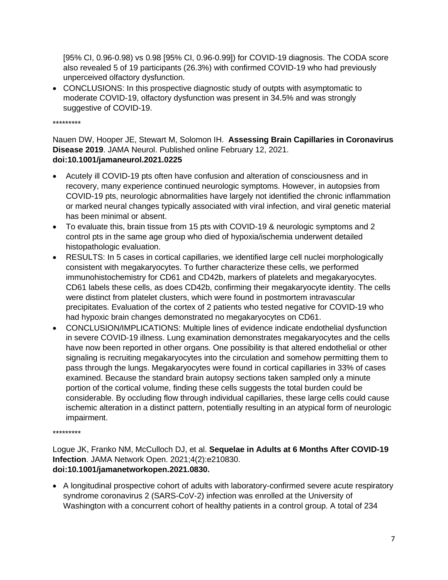[95% CI, 0.96-0.98) vs 0.98 [95% CI, 0.96-0.99]) for COVID-19 diagnosis. The CODA score also revealed 5 of 19 participants (26.3%) with confirmed COVID-19 who had previously unperceived olfactory dysfunction.

• CONCLUSIONS: In this prospective diagnostic study of outpts with asymptomatic to moderate COVID-19, olfactory dysfunction was present in 34.5% and was strongly suggestive of COVID-19.

\*\*\*\*\*\*\*\*\*

#### Nauen DW, Hooper JE, Stewart M, Solomon IH. **Assessing Brain Capillaries in Coronavirus Disease 2019**. JAMA Neurol. Published online February 12, 2021. **doi:10.1001/jamaneurol.2021.0225**

- Acutely ill COVID-19 pts often have confusion and alteration of consciousness and in recovery, many experience continued neurologic symptoms. However, in autopsies from COVID-19 pts, neurologic abnormalities have largely not identified the chronic inflammation or marked neural changes typically associated with viral infection, and viral genetic material has been minimal or absent.
- To evaluate this, brain tissue from 15 pts with COVID-19 & neurologic symptoms and 2 control pts in the same age group who died of hypoxia/ischemia underwent detailed histopathologic evaluation.
- RESULTS: In 5 cases in cortical capillaries, we identified large cell nuclei morphologically consistent with megakaryocytes. To further characterize these cells, we performed immunohistochemistry for CD61 and CD42b, markers of platelets and megakaryocytes. CD61 labels these cells, as does CD42b, confirming their megakaryocyte identity. The cells were distinct from platelet clusters, which were found in postmortem intravascular precipitates. Evaluation of the cortex of 2 patients who tested negative for COVID-19 who had hypoxic brain changes demonstrated no megakaryocytes on CD61.
- CONCLUSION/IMPLICATIONS: Multiple lines of evidence indicate endothelial dysfunction in severe COVID-19 illness. Lung examination demonstrates megakaryocytes and the cells have now been reported in other organs. One possibility is that altered endothelial or other signaling is recruiting megakaryocytes into the circulation and somehow permitting them to pass through the lungs. Megakaryocytes were found in cortical capillaries in 33% of cases examined. Because the standard brain autopsy sections taken sampled only a minute portion of the cortical volume, finding these cells suggests the total burden could be considerable. By occluding flow through individual capillaries, these large cells could cause ischemic alteration in a distinct pattern, potentially resulting in an atypical form of neurologic impairment.

\*\*\*\*\*\*\*\*\*

Logue JK, Franko NM, McCulloch DJ, et al. **Sequelae in Adults at 6 Months After COVID-19 Infection**. JAMA Network Open. 2021;4(2):e210830. **doi:10.1001/jamanetworkopen.2021.0830.**

• A longitudinal prospective cohort of adults with laboratory-confirmed severe acute respiratory syndrome coronavirus 2 (SARS-CoV-2) infection was enrolled at the University of Washington with a concurrent cohort of healthy patients in a control group. A total of 234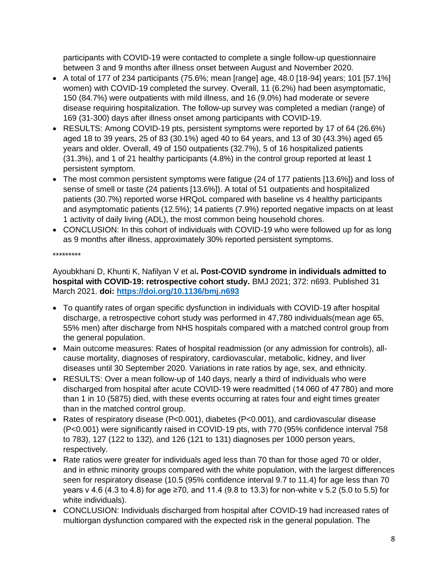participants with COVID-19 were contacted to complete a single follow-up questionnaire between 3 and 9 months after illness onset between August and November 2020.

- A total of 177 of 234 participants (75.6%; mean [range] age,  $48.0$  [18-94] years; 101 [57.1%] women) with COVID-19 completed the survey. Overall, 11 (6.2%) had been asymptomatic, 150 (84.7%) were outpatients with mild illness, and 16 (9.0%) had moderate or severe disease requiring hospitalization. The follow-up survey was completed a median (range) of 169 (31-300) days after illness onset among participants with COVID-19.
- RESULTS: Among COVID-19 pts, persistent symptoms were reported by 17 of 64 (26.6%) aged 18 to 39 years, 25 of 83 (30.1%) aged 40 to 64 years, and 13 of 30 (43.3%) aged 65 years and older. Overall, 49 of 150 outpatients (32.7%), 5 of 16 hospitalized patients (31.3%), and 1 of 21 healthy participants (4.8%) in the control group reported at least 1 persistent symptom.
- The most common persistent symptoms were fatigue (24 of 177 patients [13.6%]) and loss of sense of smell or taste (24 patients [13.6%]). A total of 51 outpatients and hospitalized patients (30.7%) reported worse HRQoL compared with baseline vs 4 healthy participants and asymptomatic patients (12.5%); 14 patients (7.9%) reported negative impacts on at least 1 activity of daily living (ADL), the most common being household chores.
- CONCLUSION: In this cohort of individuals with COVID-19 who were followed up for as long as 9 months after illness, approximately 30% reported persistent symptoms.

\*\*\*\*\*\*\*\*\*

Ayoubkhani D, Khunti K, Nafilyan V et al**. Post-COVID syndrome in individuals admitted to hospital with COVID-19: retrospective cohort study.** BMJ 2021; 372: n693. Published 31 March 2021. **doi:<https://doi.org/10.1136/bmj.n693>**

- To quantify rates of organ specific dysfunction in individuals with COVID-19 after hospital discharge, a retrospective cohort study was performed in 47,780 individuals(mean age 65, 55% men) after discharge from NHS hospitals compared with a matched control group from the general population.
- Main outcome measures: Rates of hospital readmission (or any admission for controls), allcause mortality, diagnoses of respiratory, cardiovascular, metabolic, kidney, and liver diseases until 30 September 2020. Variations in rate ratios by age, sex, and ethnicity.
- RESULTS: Over a mean follow-up of 140 days, nearly a third of individuals who were discharged from hospital after acute COVID-19 were readmitted (14 060 of 47 780) and more than 1 in 10 (5875) died, with these events occurring at rates four and eight times greater than in the matched control group.
- Rates of respiratory disease (P<0.001), diabetes (P<0.001), and cardiovascular disease (P<0.001) were significantly raised in COVID-19 pts, with 770 (95% confidence interval 758 to 783), 127 (122 to 132), and 126 (121 to 131) diagnoses per 1000 person years, respectively.
- Rate ratios were greater for individuals aged less than 70 than for those aged 70 or older, and in ethnic minority groups compared with the white population, with the largest differences seen for respiratory disease (10.5 (95% confidence interval 9.7 to 11.4) for age less than 70 years v 4.6 (4.3 to 4.8) for age ≥70, and 11.4 (9.8 to 13.3) for non-white v 5.2 (5.0 to 5.5) for white individuals).
- CONCLUSION: Individuals discharged from hospital after COVID-19 had increased rates of multiorgan dysfunction compared with the expected risk in the general population. The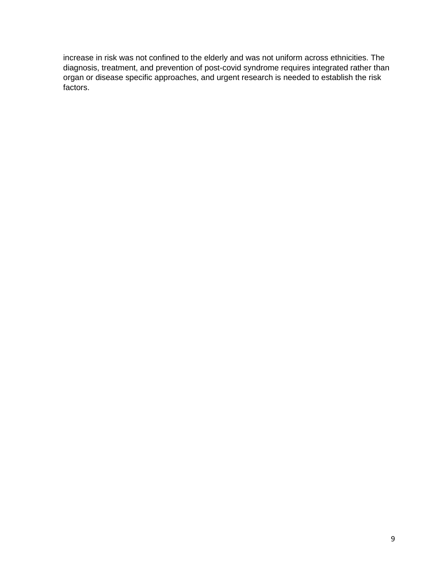increase in risk was not confined to the elderly and was not uniform across ethnicities. The diagnosis, treatment, and prevention of post-covid syndrome requires integrated rather than organ or disease specific approaches, and urgent research is needed to establish the risk factors.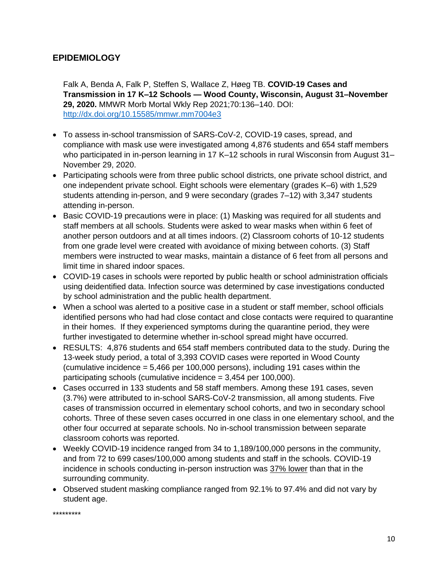## **EPIDEMIOLOGY**

Falk A, Benda A, Falk P, Steffen S, Wallace Z, Høeg TB. **COVID-19 Cases and Transmission in 17 K–12 Schools — Wood County, Wisconsin, August 31–November 29, 2020.** MMWR Morb Mortal Wkly Rep 2021;70:136–140. DOI: <http://dx.doi.org/10.15585/mmwr.mm7004e3>

- To assess in-school transmission of SARS-CoV-2, COVID-19 cases, spread, and compliance with mask use were investigated among 4,876 students and 654 staff members who participated in in-person learning in 17 K-12 schools in rural Wisconsin from August 31-November 29, 2020.
- Participating schools were from three public school districts, one private school district, and one independent private school. Eight schools were elementary (grades K–6) with 1,529 students attending in-person, and 9 were secondary (grades 7–12) with 3,347 students attending in-person.
- Basic COVID-19 precautions were in place: (1) Masking was required for all students and staff members at all schools. Students were asked to wear masks when within 6 feet of another person outdoors and at all times indoors. (2) Classroom cohorts of 10-12 students from one grade level were created with avoidance of mixing between cohorts. (3) Staff members were instructed to wear masks, maintain a distance of 6 feet from all persons and limit time in shared indoor spaces.
- COVID-19 cases in schools were reported by public health or school administration officials using deidentified data. Infection source was determined by case investigations conducted by school administration and the public health department.
- When a school was alerted to a positive case in a student or staff member, school officials identified persons who had had close contact and close contacts were required to quarantine in their homes. If they experienced symptoms during the quarantine period, they were further investigated to determine whether in-school spread might have occurred.
- RESULTS: 4,876 students and 654 staff members contributed data to the study. During the 13-week study period, a total of 3,393 COVID cases were reported in Wood County (cumulative incidence = 5,466 per 100,000 persons), including 191 cases within the participating schools (cumulative incidence = 3,454 per 100,000).
- Cases occurred in 133 students and 58 staff members. Among these 191 cases, seven (3.7%) were attributed to in-school SARS-CoV-2 transmission, all among students. Five cases of transmission occurred in elementary school cohorts, and two in secondary school cohorts. Three of these seven cases occurred in one class in one elementary school, and the other four occurred at separate schools. No in-school transmission between separate classroom cohorts was reported.
- Weekly COVID-19 incidence ranged from 34 to 1,189/100,000 persons in the community, and from 72 to 699 cases/100,000 among students and staff in the schools. COVID-19 incidence in schools conducting in-person instruction was 37% lower than that in the surrounding community.
- Observed student masking compliance ranged from 92.1% to 97.4% and did not vary by student age.

\*\*\*\*\*\*\*\*\*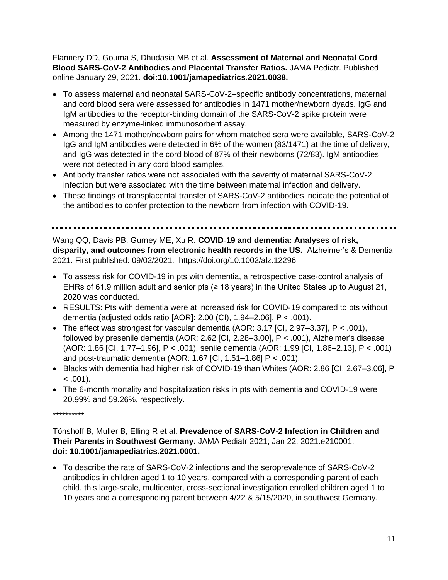Flannery DD, Gouma S, Dhudasia MB et al. **Assessment of Maternal and Neonatal Cord Blood SARS-CoV-2 Antibodies and Placental Transfer Ratios.** JAMA Pediatr. Published online January 29, 2021. **doi:10.1001/jamapediatrics.2021.0038.**

- To assess maternal and neonatal SARS-CoV-2–specific antibody concentrations, maternal and cord blood sera were assessed for antibodies in 1471 mother/newborn dyads. IgG and IgM antibodies to the receptor-binding domain of the SARS-CoV-2 spike protein were measured by enzyme-linked immunosorbent assay.
- Among the 1471 mother/newborn pairs for whom matched sera were available, SARS-CoV-2 IgG and IgM antibodies were detected in 6% of the women (83/1471) at the time of delivery, and IgG was detected in the cord blood of 87% of their newborns (72/83). IgM antibodies were not detected in any cord blood samples.
- Antibody transfer ratios were not associated with the severity of maternal SARS-CoV-2 infection but were associated with the time between maternal infection and delivery.
- These findings of transplacental transfer of SARS-CoV-2 antibodies indicate the potential of the antibodies to confer protection to the newborn from infection with COVID-19.

Wang QQ, Davis PB, Gurney ME, Xu R. **COVID-19 and dementia: Analyses of risk, disparity, and outcomes from electronic health records in the US.** Alzheimer's & Dementia 2021. First published: 09/02/2021. https://doi.org/10.1002/alz.12296

- To assess risk for COVID-19 in pts with dementia, a retrospective case-control analysis of EHRs of 61.9 million adult and senior pts ( $\geq$  18 years) in the United States up to August 21, 2020 was conducted.
- RESULTS: Pts with dementia were at increased risk for COVID-19 compared to pts without dementia (adjusted odds ratio [AOR]: 2.00 (CI), 1.94–2.06], P < .001).
- The effect was strongest for vascular dementia (AOR: 3.17 [CI, 2.97–3.37], P < .001), followed by presenile dementia (AOR: 2.62 [CI, 2.28–3.00], P < .001), Alzheimer's disease (AOR: 1.86 [CI, 1.77–1.96], P < .001), senile dementia (AOR: 1.99 [CI, 1.86–2.13], P < .001) and post‐traumatic dementia (AOR: 1.67 [CI, 1.51–1.86] P < .001).
- Blacks with dementia had higher risk of COVID-19 than Whites (AOR: 2.86 [CI, 2.67–3.06], P  $< .001$ ).
- The 6‐month mortality and hospitalization risks in pts with dementia and COVID‐19 were 20.99% and 59.26%, respectively.

\*\*\*\*\*\*\*\*\*\*

Tönshoff B, Muller B, Elling R et al. **Prevalence of SARS-CoV-2 Infection in Children and Their Parents in Southwest Germany.** JAMA Pediatr 2021; Jan 22, 2021.e210001. **doi: 10.1001/jamapediatrics.2021.0001.**

• To describe the rate of SARS-CoV-2 infections and the seroprevalence of SARS-CoV-2 antibodies in children aged 1 to 10 years, compared with a corresponding parent of each child, this large-scale, multicenter, cross-sectional investigation enrolled children aged 1 to 10 years and a corresponding parent between 4/22 & 5/15/2020, in southwest Germany.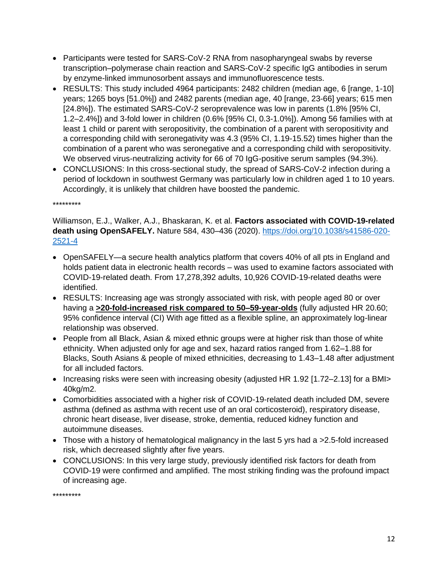- Participants were tested for SARS-CoV-2 RNA from nasopharyngeal swabs by reverse transcription–polymerase chain reaction and SARS-CoV-2 specific IgG antibodies in serum by enzyme-linked immunosorbent assays and immunofluorescence tests.
- RESULTS: This study included 4964 participants: 2482 children (median age, 6 [range, 1-10] years; 1265 boys [51.0%]) and 2482 parents (median age, 40 [range, 23-66] years; 615 men [24.8%]). The estimated SARS-CoV-2 seroprevalence was low in parents (1.8% [95% CI, 1.2–2.4%]) and 3-fold lower in children (0.6% [95% CI, 0.3-1.0%]). Among 56 families with at least 1 child or parent with seropositivity, the combination of a parent with seropositivity and a corresponding child with seronegativity was 4.3 (95% CI, 1.19-15.52) times higher than the combination of a parent who was seronegative and a corresponding child with seropositivity. We observed virus-neutralizing activity for 66 of 70 IgG-positive serum samples (94.3%).
- CONCLUSIONS: In this cross-sectional study, the spread of SARS-CoV-2 infection during a period of lockdown in southwest Germany was particularly low in children aged 1 to 10 years. Accordingly, it is unlikely that children have boosted the pandemic.

\*\*\*\*\*\*\*\*\*

Williamson, E.J., Walker, A.J., Bhaskaran, K. et al. **Factors associated with COVID-19-related death using OpenSAFELY.** Nature 584, 430–436 (2020). [https://doi.org/10.1038/s41586-020-](https://doi.org/10.1038/s41586-020-2521-4) [2521-4](https://doi.org/10.1038/s41586-020-2521-4)

- OpenSAFELY—a secure health analytics platform that covers 40% of all pts in England and holds patient data in electronic health records – was used to examine factors associated with COVID-19-related death. From 17,278,392 adults, 10,926 COVID-19-related deaths were identified.
- RESULTS: Increasing age was strongly associated with risk, with people aged 80 or over having a **>20-fold-increased risk compared to 50–59-year-olds** (fully adjusted HR 20.60; 95% confidence interval (CI) With age fitted as a flexible spline, an approximately log-linear relationship was observed.
- People from all Black, Asian & mixed ethnic groups were at higher risk than those of white ethnicity. When adjusted only for age and sex, hazard ratios ranged from 1.62–1.88 for Blacks, South Asians & people of mixed ethnicities, decreasing to 1.43–1.48 after adjustment for all included factors.
- Increasing risks were seen with increasing obesity (adjusted HR 1.92 [1.72–2.13] for a BMI> 40kg/m2.
- Comorbidities associated with a higher risk of COVID-19-related death included DM, severe asthma (defined as asthma with recent use of an oral corticosteroid), respiratory disease, chronic heart disease, liver disease, stroke, dementia, reduced kidney function and autoimmune diseases.
- Those with a history of hematological malignancy in the last 5 yrs had a >2.5-fold increased risk, which decreased slightly after five years.
- CONCLUSIONS: In this very large study, previously identified risk factors for death from COVID-19 were confirmed and amplified. The most striking finding was the profound impact of increasing age.

\*\*\*\*\*\*\*\*\*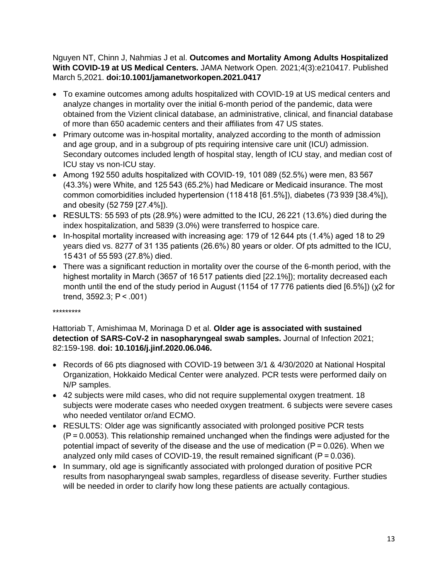Nguyen NT, Chinn J, Nahmias J et al. **Outcomes and Mortality Among Adults Hospitalized With COVID-19 at US Medical Centers.** JAMA Network Open. 2021;4(3):e210417. Published March 5,2021. **doi:10.1001/jamanetworkopen.2021.0417**

- To examine outcomes among adults hospitalized with COVID-19 at US medical centers and analyze changes in mortality over the initial 6-month period of the pandemic, data were obtained from the Vizient clinical database, an administrative, clinical, and financial database of more than 650 academic centers and their affiliates from 47 US states.
- Primary outcome was in-hospital mortality, analyzed according to the month of admission and age group, and in a subgroup of pts requiring intensive care unit (ICU) admission. Secondary outcomes included length of hospital stay, length of ICU stay, and median cost of ICU stay vs non-ICU stay.
- Among 192 550 adults hospitalized with COVID-19, 101 089 (52.5%) were men, 83 567 (43.3%) were White, and 125 543 (65.2%) had Medicare or Medicaid insurance. The most common comorbidities included hypertension (118 418 [61.5%]), diabetes (73 939 [38.4%]), and obesity (52 759 [27.4%]).
- RESULTS: 55 593 of pts (28.9%) were admitted to the ICU, 26 221 (13.6%) died during the index hospitalization, and 5839 (3.0%) were transferred to hospice care.
- In-hospital mortality increased with increasing age: 179 of 12 644 pts (1.4%) aged 18 to 29 years died vs. 8277 of 31 135 patients (26.6%) 80 years or older. Of pts admitted to the ICU, 15 431 of 55 593 (27.8%) died.
- There was a significant reduction in mortality over the course of the 6-month period, with the highest mortality in March (3657 of 16 517 patients died [22.1%]); mortality decreased each month until the end of the study period in August (1154 of 17 776 patients died [6.5%]) (χ2 for trend, 3592.3; P < .001)

#### \*\*\*\*\*\*\*\*\*

## Hattoriab T, Amishimaa M, Morinaga D et al. **Older age is associated with sustained detection of SARS-CoV-2 in nasopharyngeal swab samples.** Journal of Infection 2021; 82:159-198. **doi: 10.1016/j.jinf.2020.06.046.**

- Records of 66 pts diagnosed with COVID-19 between 3/1 & 4/30/2020 at National Hospital Organization, Hokkaido Medical Center were analyzed. PCR tests were performed daily on N/P samples.
- 42 subjects were mild cases, who did not require supplemental oxygen treatment. 18 subjects were moderate cases who needed oxygen treatment. 6 subjects were severe cases who needed ventilator or/and ECMO.
- RESULTS: Older age was significantly associated with prolonged positive PCR tests (P = 0.0053). This relationship remained unchanged when the findings were adjusted for the potential impact of severity of the disease and the use of medication ( $P = 0.026$ ). When we analyzed only mild cases of COVID-19, the result remained significant (P = 0.036).
- In summary, old age is significantly associated with prolonged duration of positive PCR results from nasopharyngeal swab samples, regardless of disease severity. Further studies will be needed in order to clarify how long these patients are actually contagious.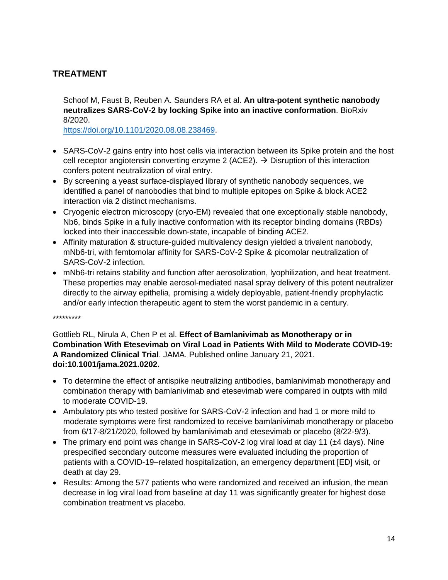# **TREATMENT**

Schoof M, Faust B, Reuben A. Saunders RA et al. **An ultra-potent synthetic nanobody neutralizes SARS-CoV-2 by locking Spike into an inactive conformation**. BioRxiv 8/2020.

[https://doi.org/10.1101/2020.08.08.238469.](https://doi.org/10.1101/2020.08.08.238469)

- SARS-CoV-2 gains entry into host cells via interaction between its Spike protein and the host cell receptor angiotensin converting enzyme 2 (ACE2).  $\rightarrow$  Disruption of this interaction confers potent neutralization of viral entry.
- By screening a yeast surface-displayed library of synthetic nanobody sequences, we identified a panel of nanobodies that bind to multiple epitopes on Spike & block ACE2 interaction via 2 distinct mechanisms.
- Cryogenic electron microscopy (cryo-EM) revealed that one exceptionally stable nanobody, Nb6, binds Spike in a fully inactive conformation with its receptor binding domains (RBDs) locked into their inaccessible down-state, incapable of binding ACE2.
- Affinity maturation & structure-guided multivalency design yielded a trivalent nanobody, mNb6-tri, with femtomolar affinity for SARS-CoV-2 Spike & picomolar neutralization of SARS-CoV-2 infection.
- mNb6-tri retains stability and function after aerosolization, lyophilization, and heat treatment. These properties may enable aerosol-mediated nasal spray delivery of this potent neutralizer directly to the airway epithelia, promising a widely deployable, patient-friendly prophylactic and/or early infection therapeutic agent to stem the worst pandemic in a century.

\*\*\*\*\*\*\*\*\*

Gottlieb RL, Nirula A, Chen P et al. **Effect of Bamlanivimab as Monotherapy or in Combination With Etesevimab on Viral Load in Patients With Mild to Moderate COVID-19: A Randomized Clinical Trial**. JAMA. Published online January 21, 2021. **doi:10.1001/jama.2021.0202.**

- To determine the effect of antispike neutralizing antibodies, bamlanivimab monotherapy and combination therapy with bamlanivimab and etesevimab were compared in outpts with mild to moderate COVID-19.
- Ambulatory pts who tested positive for SARS-CoV-2 infection and had 1 or more mild to moderate symptoms were first randomized to receive bamlanivimab monotherapy or placebo from 6/17-8/21/2020, followed by bamlanivimab and etesevimab or placebo (8/22-9/3).
- The primary end point was change in SARS-CoV-2 log viral load at day 11 ( $\pm 4$  days). Nine prespecified secondary outcome measures were evaluated including the proportion of patients with a COVID-19–related hospitalization, an emergency department [ED] visit, or death at day 29.
- Results: Among the 577 patients who were randomized and received an infusion, the mean decrease in log viral load from baseline at day 11 was significantly greater for highest dose combination treatment vs placebo.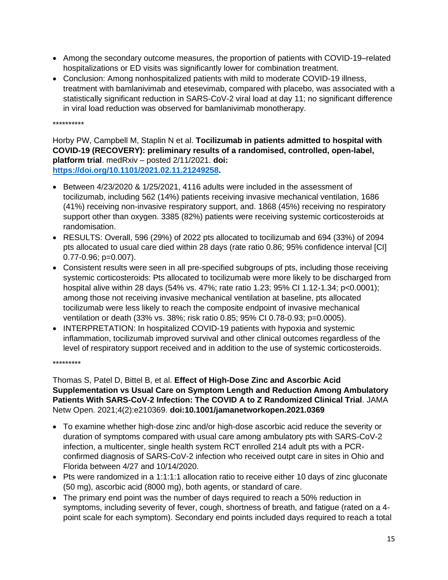- Among the secondary outcome measures, the proportion of patients with COVID-19–related hospitalizations or ED visits was significantly lower for combination treatment.
- Conclusion: Among nonhospitalized patients with mild to moderate COVID-19 illness, treatment with bamlanivimab and etesevimab, compared with placebo, was associated with a statistically significant reduction in SARS-CoV-2 viral load at day 11; no significant difference in viral load reduction was observed for bamlanivimab monotherapy.

\*\*\*\*\*\*\*\*\*\*

Horby PW, Campbell M, Staplin N et al. **Tocilizumab in patients admitted to hospital with COVID-19 (RECOVERY): preliminary results of a randomised, controlled, open-label, platform trial**. medRxiv – posted 2/11/2021. **doi: [https://doi.org/10.1101/2021.02.11.21249258.](https://doi.org/10.1101/2021.02.11.21249258)**

- Between 4/23/2020 & 1/25/2021, 4116 adults were included in the assessment of tocilizumab, including 562 (14%) patients receiving invasive mechanical ventilation, 1686 (41%) receiving non-invasive respiratory support, and. 1868 (45%) receiving no respiratory support other than oxygen. 3385 (82%) patients were receiving systemic corticosteroids at randomisation.
- RESULTS: Overall, 596 (29%) of 2022 pts allocated to tocilizumab and 694 (33%) of 2094 pts allocated to usual care died within 28 days (rate ratio 0.86; 95% confidence interval [CI] 0.77-0.96; p=0.007).
- Consistent results were seen in all pre-specified subgroups of pts, including those receiving systemic corticosteroids: Pts allocated to tocilizumab were more likely to be discharged from hospital alive within 28 days (54% vs. 47%; rate ratio 1.23; 95% CI 1.12-1.34; p<0.0001); among those not receiving invasive mechanical ventilation at baseline, pts allocated tocilizumab were less likely to reach the composite endpoint of invasive mechanical ventilation or death (33% vs. 38%; risk ratio 0.85; 95% CI 0.78-0.93; p=0.0005).
- INTERPRETATION: In hospitalized COVID-19 patients with hypoxia and systemic inflammation, tocilizumab improved survival and other clinical outcomes regardless of the level of respiratory support received and in addition to the use of systemic corticosteroids.

\*\*\*\*\*\*\*\*\*

Thomas S, Patel D, Bittel B, et al. **Effect of High-Dose Zinc and Ascorbic Acid Supplementation vs Usual Care on Symptom Length and Reduction Among Ambulatory Patients With SARS-CoV-2 Infection: The COVID A to Z Randomized Clinical Trial**. JAMA Netw Open. 2021;4(2):e210369. **doi:10.1001/jamanetworkopen.2021.0369**

- To examine whether high-dose zinc and/or high-dose ascorbic acid reduce the severity or duration of symptoms compared with usual care among ambulatory pts with SARS-CoV-2 infection, a multicenter, single health system RCT enrolled 214 adult pts with a PCRconfirmed diagnosis of SARS-CoV-2 infection who received outpt care in sites in Ohio and Florida between 4/27 and 10/14/2020.
- Pts were randomized in a 1:1:1:1 allocation ratio to receive either 10 days of zinc gluconate (50 mg), ascorbic acid (8000 mg), both agents, or standard of care.
- The primary end point was the number of days required to reach a 50% reduction in symptoms, including severity of fever, cough, shortness of breath, and fatigue (rated on a 4 point scale for each symptom). Secondary end points included days required to reach a total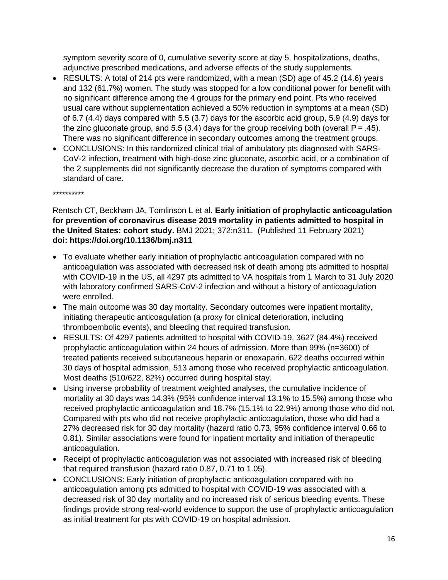symptom severity score of 0, cumulative severity score at day 5, hospitalizations, deaths, adjunctive prescribed medications, and adverse effects of the study supplements.

- RESULTS: A total of 214 pts were randomized, with a mean (SD) age of 45.2 (14.6) years and 132 (61.7%) women. The study was stopped for a low conditional power for benefit with no significant difference among the 4 groups for the primary end point. Pts who received usual care without supplementation achieved a 50% reduction in symptoms at a mean (SD) of 6.7 (4.4) days compared with 5.5 (3.7) days for the ascorbic acid group, 5.9 (4.9) days for the zinc gluconate group, and 5.5 (3.4) days for the group receiving both (overall  $P = .45$ ). There was no significant difference in secondary outcomes among the treatment groups.
- CONCLUSIONS: In this randomized clinical trial of ambulatory pts diagnosed with SARS-CoV-2 infection, treatment with high-dose zinc gluconate, ascorbic acid, or a combination of the 2 supplements did not significantly decrease the duration of symptoms compared with standard of care.

\*\*\*\*\*\*\*\*\*\*

#### Rentsch CT, Beckham JA, Tomlinson L et al. **Early initiation of prophylactic anticoagulation for prevention of coronavirus disease 2019 mortality in patients admitted to hospital in the United States: cohort study.** BMJ 2021; 372:n311. (Published 11 February 2021) **doi: https://doi.org/10.1136/bmj.n311**

- To evaluate whether early initiation of prophylactic anticoagulation compared with no anticoagulation was associated with decreased risk of death among pts admitted to hospital with COVID-19 in the US, all 4297 pts admitted to VA hospitals from 1 March to 31 July 2020 with laboratory confirmed SARS-CoV-2 infection and without a history of anticoagulation were enrolled.
- The main outcome was 30 day mortality. Secondary outcomes were inpatient mortality, initiating therapeutic anticoagulation (a proxy for clinical deterioration, including thromboembolic events), and bleeding that required transfusion.
- RESULTS: Of 4297 patients admitted to hospital with COVID-19, 3627 (84.4%) received prophylactic anticoagulation within 24 hours of admission. More than 99% (n=3600) of treated patients received subcutaneous heparin or enoxaparin. 622 deaths occurred within 30 days of hospital admission, 513 among those who received prophylactic anticoagulation. Most deaths (510/622, 82%) occurred during hospital stay.
- Using inverse probability of treatment weighted analyses, the cumulative incidence of mortality at 30 days was 14.3% (95% confidence interval 13.1% to 15.5%) among those who received prophylactic anticoagulation and 18.7% (15.1% to 22.9%) among those who did not. Compared with pts who did not receive prophylactic anticoagulation, those who did had a 27% decreased risk for 30 day mortality (hazard ratio 0.73, 95% confidence interval 0.66 to 0.81). Similar associations were found for inpatient mortality and initiation of therapeutic anticoagulation.
- Receipt of prophylactic anticoagulation was not associated with increased risk of bleeding that required transfusion (hazard ratio 0.87, 0.71 to 1.05).
- CONCLUSIONS: Early initiation of prophylactic anticoagulation compared with no anticoagulation among pts admitted to hospital with COVID-19 was associated with a decreased risk of 30 day mortality and no increased risk of serious bleeding events. These findings provide strong real-world evidence to support the use of prophylactic anticoagulation as initial treatment for pts with COVID-19 on hospital admission.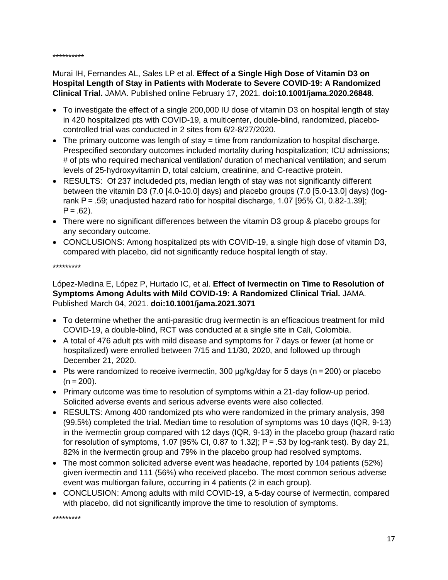\*\*\*\*\*\*\*\*\*\*

Murai IH, Fernandes AL, Sales LP et al. **Effect of a Single High Dose of Vitamin D3 on Hospital Length of Stay in Patients with Moderate to Severe COVID-19: A Randomized Clinical Trial.** JAMA. Published online February 17, 2021. **doi:10.1001/jama.2020.26848**.

- To investigate the effect of a single 200,000 IU dose of vitamin D3 on hospital length of stay in 420 hospitalized pts with COVID-19, a multicenter, double-blind, randomized, placebocontrolled trial was conducted in 2 sites from 6/2-8/27/2020.
- The primary outcome was length of stay = time from randomization to hospital discharge. Prespecified secondary outcomes included mortality during hospitalization; ICU admissions; # of pts who required mechanical ventilation/ duration of mechanical ventilation; and serum levels of 25-hydroxyvitamin D, total calcium, creatinine, and C-reactive protein.
- RESULTS: Of 237 includeded pts, median length of stay was not significantly different between the vitamin D3 (7.0 [4.0-10.0] days) and placebo groups (7.0 [5.0-13.0] days) (logrank P = .59; unadjusted hazard ratio for hospital discharge, 1.07 [95% CI, 0.82-1.39];  $P = .62$ ).
- There were no significant differences between the vitamin D3 group & placebo groups for any secondary outcome.
- CONCLUSIONS: Among hospitalized pts with COVID-19, a single high dose of vitamin D3, compared with placebo, did not significantly reduce hospital length of stay.

\*\*\*\*\*\*\*\*\*

López-Medina E, López P, Hurtado IC, et al. **Effect of Ivermectin on Time to Resolution of Symptoms Among Adults with Mild COVID-19: A Randomized Clinical Trial.** JAMA. Published March 04, 2021. **doi:10.1001/jama.2021.3071**

- To determine whether the anti-parasitic drug ivermectin is an efficacious treatment for mild COVID-19, a double-blind, RCT was conducted at a single site in Cali, Colombia.
- A total of 476 adult pts with mild disease and symptoms for 7 days or fewer (at home or hospitalized) were enrolled between 7/15 and 11/30, 2020, and followed up through December 21, 2020.
- Pts were randomized to receive ivermectin, 300 μg/kg/day for 5 days (n = 200) or placebo  $(n = 200)$ .
- Primary outcome was time to resolution of symptoms within a 21-day follow-up period. Solicited adverse events and serious adverse events were also collected.
- RESULTS: Among 400 randomized pts who were randomized in the primary analysis, 398 (99.5%) completed the trial. Median time to resolution of symptoms was 10 days (IQR, 9-13) in the ivermectin group compared with 12 days (IQR, 9-13) in the placebo group (hazard ratio for resolution of symptoms, 1.07 [95% CI, 0.87 to 1.32];  $P = .53$  by log-rank test). By day 21, 82% in the ivermectin group and 79% in the placebo group had resolved symptoms.
- The most common solicited adverse event was headache, reported by 104 patients (52%) given ivermectin and 111 (56%) who received placebo. The most common serious adverse event was multiorgan failure, occurring in 4 patients (2 in each group).
- CONCLUSION: Among adults with mild COVID-19, a 5-day course of ivermectin, compared with placebo, did not significantly improve the time to resolution of symptoms.

\*\*\*\*\*\*\*\*\*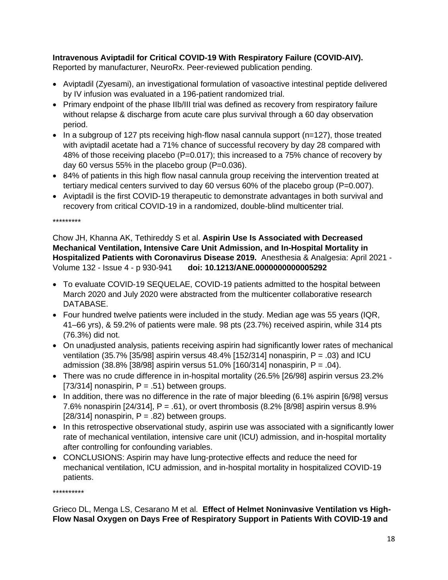## **Intravenous Aviptadil for Critical COVID-19 With Respiratory Failure (COVID-AIV).**

Reported by manufacturer, NeuroRx. Peer-reviewed publication pending.

- Aviptadil (Zyesami), an investigational formulation of vasoactive intestinal peptide delivered by IV infusion was evaluated in a 196-patient randomized trial.
- Primary endpoint of the phase IIb/III trial was defined as recovery from respiratory failure without relapse & discharge from acute care plus survival through a 60 day observation period.
- In a subgroup of 127 pts receiving high-flow nasal cannula support (n=127), those treated with aviptadil acetate had a 71% chance of successful recovery by day 28 compared with 48% of those receiving placebo (P=0.017); this increased to a 75% chance of recovery by day 60 versus 55% in the placebo group (P=0.036).
- 84% of patients in this high flow nasal cannula group receiving the intervention treated at tertiary medical centers survived to day 60 versus 60% of the placebo group (P=0.007).
- Aviptadil is the first COVID-19 therapeutic to demonstrate advantages in both survival and recovery from critical COVID-19 in a randomized, double-blind multicenter trial.

\*\*\*\*\*\*\*\*\*

Chow JH, Khanna AK, Tethireddy S et al. **Aspirin Use Is Associated with Decreased Mechanical Ventilation, Intensive Care Unit Admission, and In-Hospital Mortality in Hospitalized Patients with Coronavirus Disease 2019.** Anesthesia & Analgesia: April 2021 - Volume 132 - Issue 4 - p 930-941 **doi: 10.1213/ANE.0000000000005292**

- To evaluate COVID-19 SEQUELAE, COVID-19 patients admitted to the hospital between March 2020 and July 2020 were abstracted from the multicenter collaborative research DATABASE.
- Four hundred twelve patients were included in the study. Median age was 55 years (IQR, 41–66 yrs), & 59.2% of patients were male. 98 pts (23.7%) received aspirin, while 314 pts (76.3%) did not.
- On unadjusted analysis, patients receiving aspirin had significantly lower rates of mechanical ventilation (35.7% [35/98] aspirin versus 48.4% [152/314] nonaspirin,  $P = .03$ ) and ICU admission (38.8% [38/98] aspirin versus 51.0% [160/314] nonaspirin, P = .04).
- There was no crude difference in in-hospital mortality (26.5% [26/98] aspirin versus 23.2% [73/314] nonaspirin,  $P = .51$ ) between groups.
- In addition, there was no difference in the rate of major bleeding (6.1% aspirin [6/98] versus 7.6% nonaspirin [24/314], P = .61), or overt thrombosis (8.2% [8/98] aspirin versus 8.9% [28/314] nonaspirin,  $P = .82$ ) between groups.
- In this retrospective observational study, aspirin use was associated with a significantly lower rate of mechanical ventilation, intensive care unit (ICU) admission, and in-hospital mortality after controlling for confounding variables.
- CONCLUSIONS: Aspirin may have lung-protective effects and reduce the need for mechanical ventilation, ICU admission, and in-hospital mortality in hospitalized COVID-19 patients.

\*\*\*\*\*\*\*\*\*\*

Grieco DL, Menga LS, Cesarano M et al. **Effect of Helmet Noninvasive Ventilation vs High-Flow Nasal Oxygen on Days Free of Respiratory Support in Patients With COVID-19 and**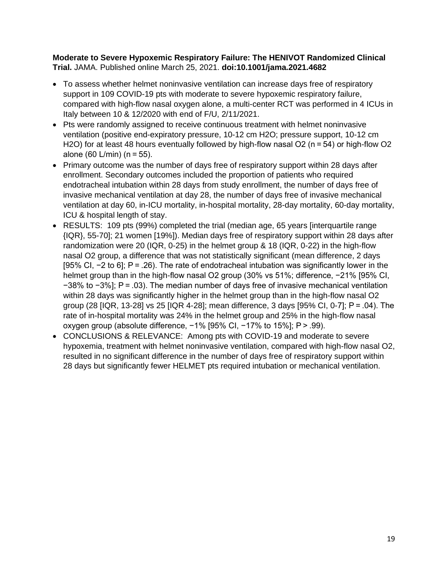#### **Moderate to Severe Hypoxemic Respiratory Failure: The HENIVOT Randomized Clinical Trial.** JAMA. Published online March 25, 2021. **doi:10.1001/jama.2021.4682**

- To assess whether helmet noninvasive ventilation can increase days free of respiratory support in 109 COVID-19 pts with moderate to severe hypoxemic respiratory failure, compared with high-flow nasal oxygen alone, a multi-center RCT was performed in 4 ICUs in Italy between 10 & 12/2020 with end of F/U, 2/11/2021.
- Pts were randomly assigned to receive continuous treatment with helmet noninvasive ventilation (positive end-expiratory pressure, 10-12 cm H2O; pressure support, 10-12 cm H<sub>2</sub>O) for at least 48 hours eventually followed by high-flow nasal O<sub>2</sub> (n = 54) or high-flow O<sub>2</sub> alone (60 L/min) (n = 55).
- Primary outcome was the number of days free of respiratory support within 28 days after enrollment. Secondary outcomes included the proportion of patients who required endotracheal intubation within 28 days from study enrollment, the number of days free of invasive mechanical ventilation at day 28, the number of days free of invasive mechanical ventilation at day 60, in-ICU mortality, in-hospital mortality, 28-day mortality, 60-day mortality, ICU & hospital length of stay.
- RESULTS: 109 pts (99%) completed the trial (median age, 65 years [interquartile range {IQR}, 55-70]; 21 women [19%]). Median days free of respiratory support within 28 days after randomization were 20 (IQR, 0-25) in the helmet group & 18 (IQR, 0-22) in the high-flow nasal O2 group, a difference that was not statistically significant (mean difference, 2 days [95% CI, −2 to 6]; P = .26). The rate of endotracheal intubation was significantly lower in the helmet group than in the high-flow nasal O2 group (30% vs 51%; difference, -21% [95% CI, −38% to −3%]; P = .03). The median number of days free of invasive mechanical ventilation within 28 days was significantly higher in the helmet group than in the high-flow nasal O2 group (28 [IQR, 13-28] vs 25 [IQR 4-28]; mean difference, 3 days [95% CI, 0-7]; P = .04). The rate of in-hospital mortality was 24% in the helmet group and 25% in the high-flow nasal oxygen group (absolute difference, −1% [95% CI, −17% to 15%]; P > .99).
- CONCLUSIONS & RELEVANCE: Among pts with COVID-19 and moderate to severe hypoxemia, treatment with helmet noninvasive ventilation, compared with high-flow nasal O2, resulted in no significant difference in the number of days free of respiratory support within 28 days but significantly fewer HELMET pts required intubation or mechanical ventilation.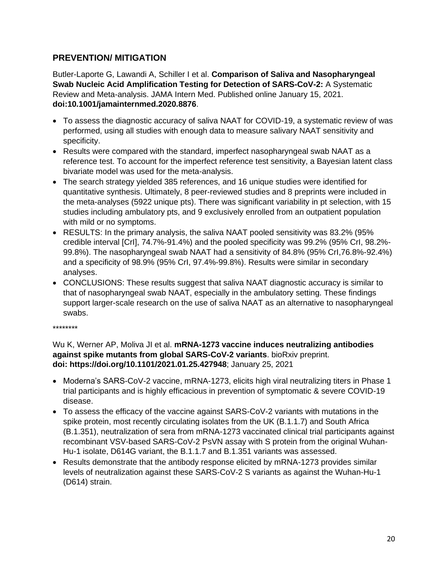# **PREVENTION/ MITIGATION**

Butler-Laporte G, Lawandi A, Schiller I et al. **Comparison of Saliva and Nasopharyngeal Swab Nucleic Acid Amplification Testing for Detection of SARS-CoV-2:** A Systematic Review and Meta-analysis. JAMA Intern Med. Published online January 15, 2021. **doi:10.1001/jamainternmed.2020.8876**.

- To assess the diagnostic accuracy of saliva NAAT for COVID-19, a systematic review of was performed, using all studies with enough data to measure salivary NAAT sensitivity and specificity.
- Results were compared with the standard, imperfect nasopharyngeal swab NAAT as a reference test. To account for the imperfect reference test sensitivity, a Bayesian latent class bivariate model was used for the meta-analysis.
- The search strategy yielded 385 references, and 16 unique studies were identified for quantitative synthesis. Ultimately, 8 peer-reviewed studies and 8 preprints were included in the meta-analyses (5922 unique pts). There was significant variability in pt selection, with 15 studies including ambulatory pts, and 9 exclusively enrolled from an outpatient population with mild or no symptoms.
- RESULTS: In the primary analysis, the saliva NAAT pooled sensitivity was 83.2% (95% credible interval [CrI], 74.7%-91.4%) and the pooled specificity was 99.2% (95% CrI, 98.2%- 99.8%). The nasopharyngeal swab NAAT had a sensitivity of 84.8% (95% CrI,76.8%-92.4%) and a specificity of 98.9% (95% CrI, 97.4%-99.8%). Results were similar in secondary analyses.
- CONCLUSIONS: These results suggest that saliva NAAT diagnostic accuracy is similar to that of nasopharyngeal swab NAAT, especially in the ambulatory setting. These findings support larger-scale research on the use of saliva NAAT as an alternative to nasopharyngeal swabs.
- \*\*\*\*\*\*\*\*

## Wu K, Werner AP, Moliva JI et al. **mRNA-1273 vaccine induces neutralizing antibodies against spike mutants from global SARS-CoV-2 variants**. bioRxiv preprint. **doi: https://doi.org/10.1101/2021.01.25.427948**; January 25, 2021

- Moderna's SARS-CoV-2 vaccine, mRNA-1273, elicits high viral neutralizing titers in Phase 1 trial participants and is highly efficacious in prevention of symptomatic & severe COVID-19 disease.
- To assess the efficacy of the vaccine against SARS-CoV-2 variants with mutations in the spike protein, most recently circulating isolates from the UK (B.1.1.7) and South Africa (B.1.351), neutralization of sera from mRNA-1273 vaccinated clinical trial participants against recombinant VSV-based SARS-CoV-2 PsVN assay with S protein from the original Wuhan-Hu-1 isolate, D614G variant, the B.1.1.7 and B.1.351 variants was assessed.
- Results demonstrate that the antibody response elicited by mRNA-1273 provides similar levels of neutralization against these SARS-CoV-2 S variants as against the Wuhan-Hu-1 (D614) strain.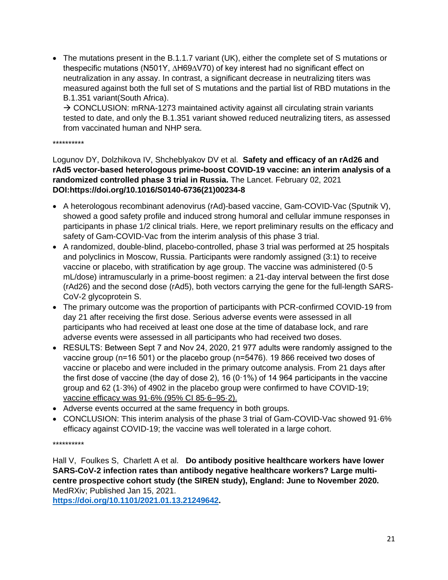• The mutations present in the B.1.1.7 variant (UK), either the complete set of S mutations or thespecific mutations (N501Y, ∆H69∆V70) of key interest had no significant effect on neutralization in any assay. In contrast, a significant decrease in neutralizing titers was measured against both the full set of S mutations and the partial list of RBD mutations in the B.1.351 variant(South Africa).

→ CONCLUSION: mRNA-1273 maintained activity against all circulating strain variants tested to date, and only the B.1.351 variant showed reduced neutralizing titers, as assessed from vaccinated human and NHP sera.

\*\*\*\*\*\*\*\*\*\*

#### Logunov DY, Dolzhikova IV, Shcheblyakov DV et al. **Safety and efficacy of an rAd26 and rAd5 vector-based heterologous prime-boost COVID-19 vaccine: an interim analysis of a randomized controlled phase 3 trial in Russia.** The Lancet. February 02, 2021 **DOI:https://doi.org/10.1016/S0140-6736(21)00234-8**

- A heterologous recombinant adenovirus (rAd)-based vaccine, Gam-COVID-Vac (Sputnik V), showed a good safety profile and induced strong humoral and cellular immune responses in participants in phase 1/2 clinical trials. Here, we report preliminary results on the efficacy and safety of Gam-COVID-Vac from the interim analysis of this phase 3 trial.
- A randomized, double-blind, placebo-controlled, phase 3 trial was performed at 25 hospitals and polyclinics in Moscow, Russia. Participants were randomly assigned (3:1) to receive vaccine or placebo, with stratification by age group. The vaccine was administered (0·5 mL/dose) intramuscularly in a prime-boost regimen: a 21-day interval between the first dose (rAd26) and the second dose (rAd5), both vectors carrying the gene for the full-length SARS-CoV-2 glycoprotein S.
- The primary outcome was the proportion of participants with PCR-confirmed COVID-19 from day 21 after receiving the first dose. Serious adverse events were assessed in all participants who had received at least one dose at the time of database lock, and rare adverse events were assessed in all participants who had received two doses.
- RESULTS: Between Sept 7 and Nov 24, 2020, 21 977 adults were randomly assigned to the vaccine group (n=16 501) or the placebo group (n=5476). 19 866 received two doses of vaccine or placebo and were included in the primary outcome analysis. From 21 days after the first dose of vaccine (the day of dose 2), 16 (0 $\cdot$ 1%) of 14 964 participants in the vaccine group and 62 (1·3%) of 4902 in the placebo group were confirmed to have COVID-19; vaccine efficacy was 91·6% (95% CI 85·6–95·2).
- Adverse events occurred at the same frequency in both groups.
- CONCLUSION: This interim analysis of the phase 3 trial of Gam-COVID-Vac showed 91·6% efficacy against COVID-19; the vaccine was well tolerated in a large cohort.

#### \*\*\*\*\*\*\*\*\*\*

Hall V, Foulkes S, Charlett A et al. **Do antibody positive healthcare workers have lower SARS-CoV-2 infection rates than antibody negative healthcare workers? Large multicentre prospective cohort study (the SIREN study), England: June to November 2020.** MedRXiv; Published Jan 15, 2021.

**[https://doi.org/10.1101/2021.01.13.21249642.](https://doi.org/10.1101/2021.01.13.21249642)**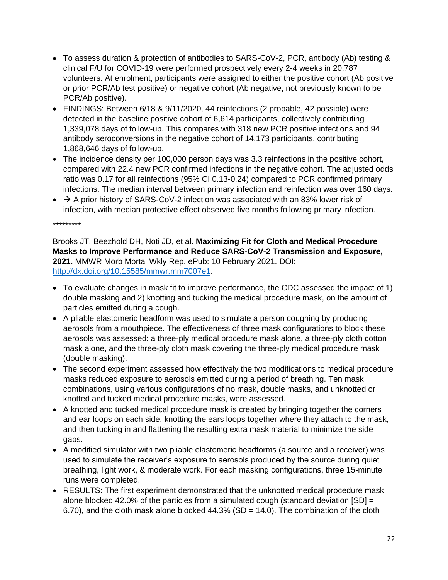- To assess duration & protection of antibodies to SARS-CoV-2, PCR, antibody (Ab) testing & clinical F/U for COVID-19 were performed prospectively every 2-4 weeks in 20,787 volunteers. At enrolment, participants were assigned to either the positive cohort (Ab positive or prior PCR/Ab test positive) or negative cohort (Ab negative, not previously known to be PCR/Ab positive).
- FINDINGS: Between 6/18 & 9/11/2020, 44 reinfections (2 probable, 42 possible) were detected in the baseline positive cohort of 6,614 participants, collectively contributing 1,339,078 days of follow-up. This compares with 318 new PCR positive infections and 94 antibody seroconversions in the negative cohort of 14,173 participants, contributing 1,868,646 days of follow-up.
- The incidence density per 100,000 person days was 3.3 reinfections in the positive cohort, compared with 22.4 new PCR confirmed infections in the negative cohort. The adjusted odds ratio was 0.17 for all reinfections (95% CI 0.13-0.24) compared to PCR confirmed primary infections. The median interval between primary infection and reinfection was over 160 days.
- $\rightarrow$  A prior history of SARS-CoV-2 infection was associated with an 83% lower risk of infection, with median protective effect observed five months following primary infection.

\*\*\*\*\*\*\*\*\*

Brooks JT, Beezhold DH, Noti JD, et al. **Maximizing Fit for Cloth and Medical Procedure Masks to Improve Performance and Reduce SARS-CoV-2 Transmission and Exposure, 2021.** MMWR Morb Mortal Wkly Rep. ePub: 10 February 2021. DOI: [http://dx.doi.org/10.15585/mmwr.mm7007e1.](http://dx.doi.org/10.15585/mmwr.mm7007e1)

- To evaluate changes in mask fit to improve performance, the CDC assessed the impact of 1) double masking and 2) knotting and tucking the medical procedure mask, on the amount of particles emitted during a cough.
- A pliable elastomeric headform was used to simulate a person coughing by producing aerosols from a mouthpiece. The effectiveness of three mask configurations to block these aerosols was assessed: a three-ply medical procedure mask alone, a three-ply cloth cotton mask alone, and the three-ply cloth mask covering the three-ply medical procedure mask (double masking).
- The second experiment assessed how effectively the two modifications to medical procedure masks reduced exposure to aerosols emitted during a period of breathing. Ten mask combinations, using various configurations of no mask, double masks, and unknotted or knotted and tucked medical procedure masks, were assessed.
- A knotted and tucked medical procedure mask is created by bringing together the corners and ear loops on each side, knotting the ears loops together where they attach to the mask, and then tucking in and flattening the resulting extra mask material to minimize the side gaps.
- A modified simulator with two pliable elastomeric headforms (a source and a receiver) was used to simulate the receiver's exposure to aerosols produced by the source during quiet breathing, light work, & moderate work. For each masking configurations, three 15-minute runs were completed.
- RESULTS: The first experiment demonstrated that the unknotted medical procedure mask alone blocked 42.0% of the particles from a simulated cough (standard deviation  $[SD] =$ 6.70), and the cloth mask alone blocked  $44.3\%$  (SD = 14.0). The combination of the cloth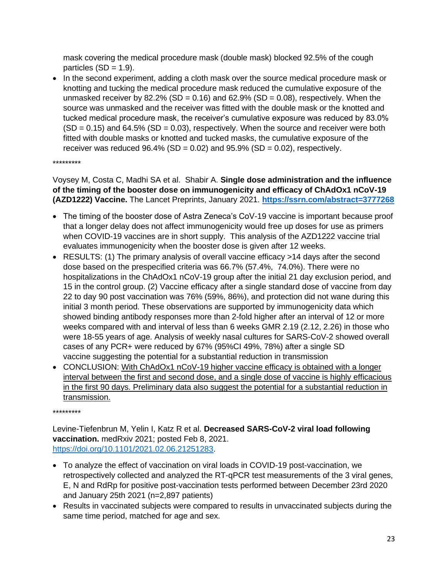mask covering the medical procedure mask (double mask) blocked 92.5% of the cough particles  $(SD = 1.9)$ .

• In the second experiment, adding a cloth mask over the source medical procedure mask or knotting and tucking the medical procedure mask reduced the cumulative exposure of the unmasked receiver by 82.2% (SD =  $0.16$ ) and 62.9% (SD =  $0.08$ ), respectively. When the source was unmasked and the receiver was fitted with the double mask or the knotted and tucked medical procedure mask, the receiver's cumulative exposure was reduced by 83.0%  $(SD = 0.15)$  and 64.5%  $(SD = 0.03)$ , respectively. When the source and receiver were both fitted with double masks or knotted and tucked masks, the cumulative exposure of the receiver was reduced  $96.4\%$  (SD = 0.02) and  $95.9\%$  (SD = 0.02), respectively.

\*\*\*\*\*\*\*\*\*

Voysey M, Costa C, Madhi SA et al. Shabir A. **Single dose administration and the influence of the timing of the booster dose on immunogenicity and efficacy of ChAdOx1 nCoV-19 (AZD1222) Vaccine.** The Lancet Preprints, January 2021. **<https://ssrn.com/abstract=3777268>**

- The timing of the booster dose of Astra Zeneca's CoV-19 vaccine is important because proof that a longer delay does not affect immunogenicity would free up doses for use as primers when COVID-19 vaccines are in short supply. This analysis of the AZD1222 vaccine trial evaluates immunogenicity when the booster dose is given after 12 weeks.
- RESULTS: (1) The primary analysis of overall vaccine efficacy >14 days after the second dose based on the prespecified criteria was 66.7% (57.4%, 74.0%). There were no hospitalizations in the ChAdOx1 nCoV-19 group after the initial 21 day exclusion period, and 15 in the control group. (2) Vaccine efficacy after a single standard dose of vaccine from day 22 to day 90 post vaccination was 76% (59%, 86%), and protection did not wane during this initial 3 month period. These observations are supported by immunogenicity data which showed binding antibody responses more than 2-fold higher after an interval of 12 or more weeks compared with and interval of less than 6 weeks GMR 2.19 (2.12, 2.26) in those who were 18-55 years of age. Analysis of weekly nasal cultures for SARS-CoV-2 showed overall cases of any PCR+ were reduced by 67% (95%CI 49%, 78%) after a single SD vaccine suggesting the potential for a substantial reduction in transmission
- CONCLUSION: With ChAdOx1 nCoV-19 higher vaccine efficacy is obtained with a longer interval between the first and second dose, and a single dose of vaccine is highly efficacious in the first 90 days. Preliminary data also suggest the potential for a substantial reduction in transmission.

\*\*\*\*\*\*\*\*\*

Levine-Tiefenbrun M, Yelin I, Katz R et al. **Decreased SARS-CoV-2 viral load following vaccination.** medRxiv 2021; posted Feb 8, 2021. [https://doi.org/10.1101/2021.02.06.21251283.](https://doi.org/10.1101/2021.02.06.21251283)

- To analyze the effect of vaccination on viral loads in COVID-19 post-vaccination, we retrospectively collected and analyzed the RT-qPCR test measurements of the 3 viral genes, E, N and RdRp for positive post-vaccination tests performed between December 23rd 2020 and January 25th 2021 (n=2,897 patients)
- Results in vaccinated subjects were compared to results in unvaccinated subjects during the same time period, matched for age and sex.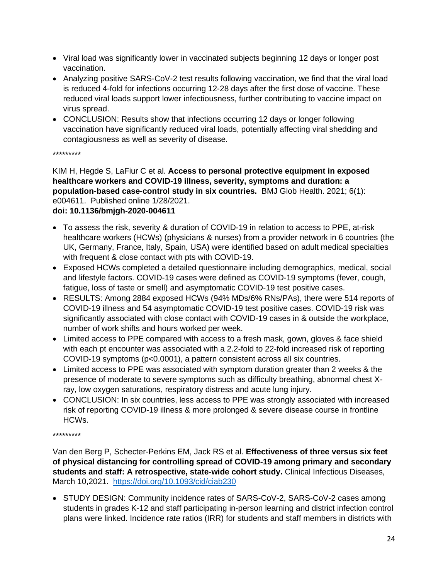- Viral load was significantly lower in vaccinated subjects beginning 12 days or longer post vaccination.
- Analyzing positive SARS-CoV-2 test results following vaccination, we find that the viral load is reduced 4-fold for infections occurring 12-28 days after the first dose of vaccine. These reduced viral loads support lower infectiousness, further contributing to vaccine impact on virus spread.
- CONCLUSION: Results show that infections occurring 12 days or longer following vaccination have significantly reduced viral loads, potentially affecting viral shedding and contagiousness as well as severity of disease.

\*\*\*\*\*\*\*\*\*

KIM H, Hegde S, LaFiur C et al. **Access to personal protective equipment in exposed healthcare workers and COVID-19 illness, severity, symptoms and duration: a population-based case-control study in six countries.** BMJ Glob Health. 2021; 6(1): e004611. Published online 1/28/2021.

## **doi: 10.1136/bmjgh-2020-004611**

- To assess the risk, severity & duration of COVID-19 in relation to access to PPE, at-risk healthcare workers (HCWs) (physicians & nurses) from a provider network in 6 countries (the UK, Germany, France, Italy, Spain, USA) were identified based on adult medical specialties with frequent & close contact with pts with COVID-19.
- Exposed HCWs completed a detailed questionnaire including demographics, medical, social and lifestyle factors. COVID-19 cases were defined as COVID-19 symptoms (fever, cough, fatigue, loss of taste or smell) and asymptomatic COVID-19 test positive cases.
- RESULTS: Among 2884 exposed HCWs (94% MDs/6% RNs/PAs), there were 514 reports of COVID-19 illness and 54 asymptomatic COVID-19 test positive cases. COVID-19 risk was significantly associated with close contact with COVID-19 cases in & outside the workplace, number of work shifts and hours worked per week.
- Limited access to PPE compared with access to a fresh mask, gown, gloves & face shield with each pt encounter was associated with a 2.2-fold to 22-fold increased risk of reporting COVID-19 symptoms (p<0.0001), a pattern consistent across all six countries.
- Limited access to PPE was associated with symptom duration greater than 2 weeks & the presence of moderate to severe symptoms such as difficulty breathing, abnormal chest Xray, low oxygen saturations, respiratory distress and acute lung injury.
- CONCLUSION: In six countries, less access to PPE was strongly associated with increased risk of reporting COVID-19 illness & more prolonged & severe disease course in frontline HCWs.

\*\*\*\*\*\*\*\*\*

Van den Berg P, Schecter-Perkins EM, Jack RS et al. **Effectiveness of three versus six feet of physical distancing for controlling spread of COVID-19 among primary and secondary students and staff: A retrospective, state-wide cohort study.** Clinical Infectious Diseases, March 10,2021. <https://doi.org/10.1093/cid/ciab230>

• STUDY DESIGN: Community incidence rates of SARS-CoV-2, SARS-CoV-2 cases among students in grades K-12 and staff participating in-person learning and district infection control plans were linked. Incidence rate ratios (IRR) for students and staff members in districts with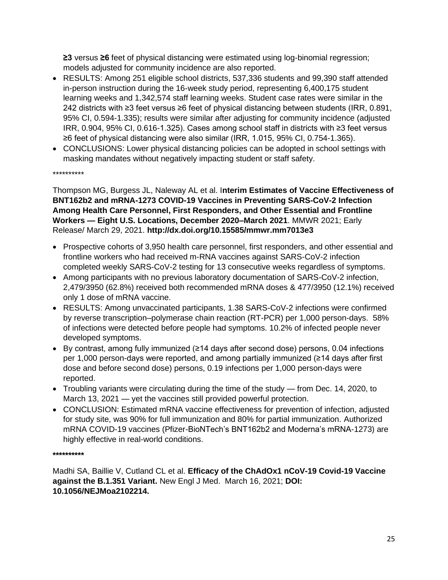**≥3** versus **≥6** feet of physical distancing were estimated using log-binomial regression; models adjusted for community incidence are also reported.

- RESULTS: Among 251 eligible school districts, 537,336 students and 99,390 staff attended in-person instruction during the 16-week study period, representing 6,400,175 student learning weeks and 1,342,574 staff learning weeks. Student case rates were similar in the 242 districts with ≥3 feet versus ≥6 feet of physical distancing between students (IRR, 0.891, 95% CI, 0.594-1.335); results were similar after adjusting for community incidence (adjusted IRR, 0.904, 95% CI, 0.616-1.325). Cases among school staff in districts with ≥3 feet versus ≥6 feet of physical distancing were also similar (IRR, 1.015, 95% CI, 0.754-1.365).
- CONCLUSIONS: Lower physical distancing policies can be adopted in school settings with masking mandates without negatively impacting student or staff safety.

\*\*\*\*\*\*\*\*\*\*

Thompson MG, Burgess JL, Naleway AL et al. I**nterim Estimates of Vaccine Effectiveness of BNT162b2 and mRNA-1273 COVID-19 Vaccines in Preventing SARS-CoV-2 Infection Among Health Care Personnel, First Responders, and Other Essential and Frontline Workers — Eight U.S. Locations, December 2020–March 2021**. MMWR 2021; Early Release/ March 29, 2021. **http://dx.doi.org/10.15585/mmwr.mm7013e3**

- Prospective cohorts of 3,950 health care personnel, first responders, and other essential and frontline workers who had received m-RNA vaccines against SARS-CoV-2 infection completed weekly SARS-CoV-2 testing for 13 consecutive weeks regardless of symptoms.
- Among participants with no previous laboratory documentation of SARS-CoV-2 infection, 2,479/3950 (62.8%) received both recommended mRNA doses & 477/3950 (12.1%) received only 1 dose of mRNA vaccine.
- RESULTS: Among unvaccinated participants, 1.38 SARS-CoV-2 infections were confirmed by reverse transcription–polymerase chain reaction (RT-PCR) per 1,000 person-days. 58% of infections were detected before people had symptoms. 10.2% of infected people never developed symptoms.
- By contrast, among fully immunized (≥14 days after second dose) persons, 0.04 infections per 1,000 person-days were reported, and among partially immunized (≥14 days after first dose and before second dose) persons, 0.19 infections per 1,000 person-days were reported.
- Troubling variants were circulating during the time of the study from Dec. 14, 2020, to March 13, 2021 — yet the vaccines still provided powerful protection.
- CONCLUSION: Estimated mRNA vaccine effectiveness for prevention of infection, adjusted for study site, was 90% for full immunization and 80% for partial immunization. Authorized mRNA COVID-19 vaccines (Pfizer-BioNTech's BNT162b2 and Moderna's mRNA-1273) are highly effective in real-world conditions.

**\*\*\*\*\*\*\*\*\*\***

Madhi SA, Baillie V, Cutland CL et al. **Efficacy of the ChAdOx1 nCoV-19 Covid-19 Vaccine against the B.1.351 Variant.** New Engl J Med. March 16, 2021; **DOI: 10.1056/NEJMoa2102214.**